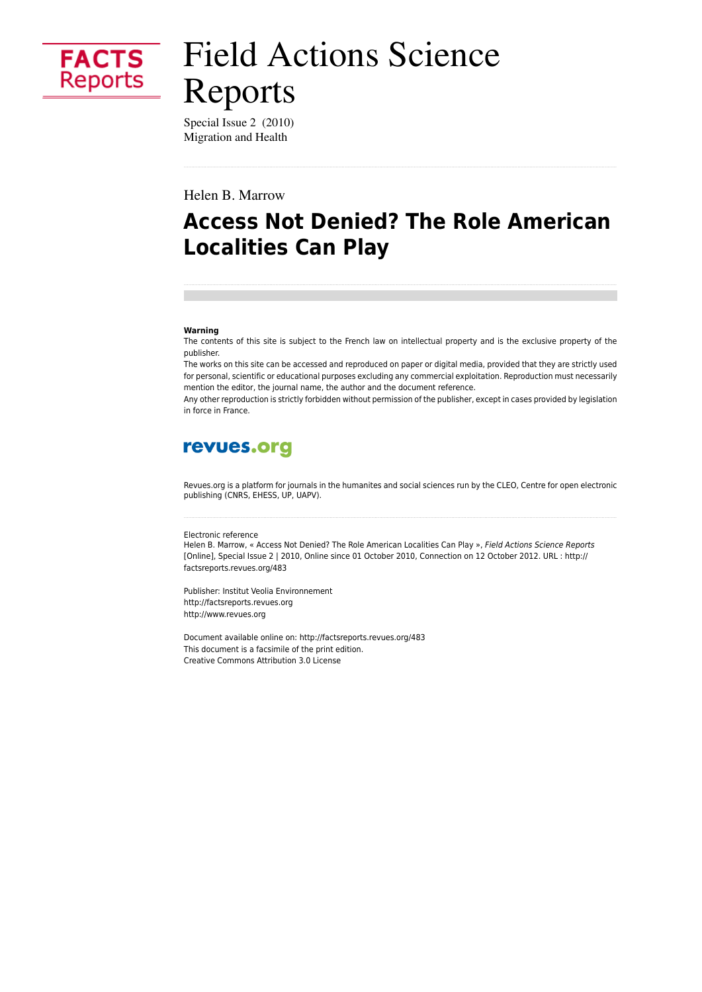

# **Field Actions Science** Reports

Special Issue 2 (2010) Migration and Health

Helen B. Marrow

# **Access Not Denied? The Role American Localities Can Play**

#### Warning

The contents of this site is subject to the French law on intellectual property and is the exclusive property of the publisher.

The works on this site can be accessed and reproduced on paper or digital media, provided that they are strictly used for personal, scientific or educational purposes excluding any commercial exploitation. Reproduction must necessarily mention the editor, the journal name, the author and the document reference.

Any other reproduction is strictly forbidden without permission of the publisher, except in cases provided by legislation in force in France.

# revues.org

Revues.org is a platform for journals in the humanites and social sciences run by the CLEO, Centre for open electronic publishing (CNRS, EHESS, UP, UAPV).

#### Electronic reference

Helen B. Marrow, « Access Not Denied? The Role American Localities Can Play », Field Actions Science Reports [Online], Special Issue 2 | 2010, Online since 01 October 2010, Connection on 12 October 2012. URL : http:// factsreports.revues.org/483

Publisher: Institut Veolia Environnement http://factsreports.revues.org http://www.revues.org

Document available online on: http://factsreports.revues.org/483 This document is a facsimile of the print edition. Creative Commons Attribution 3.0 License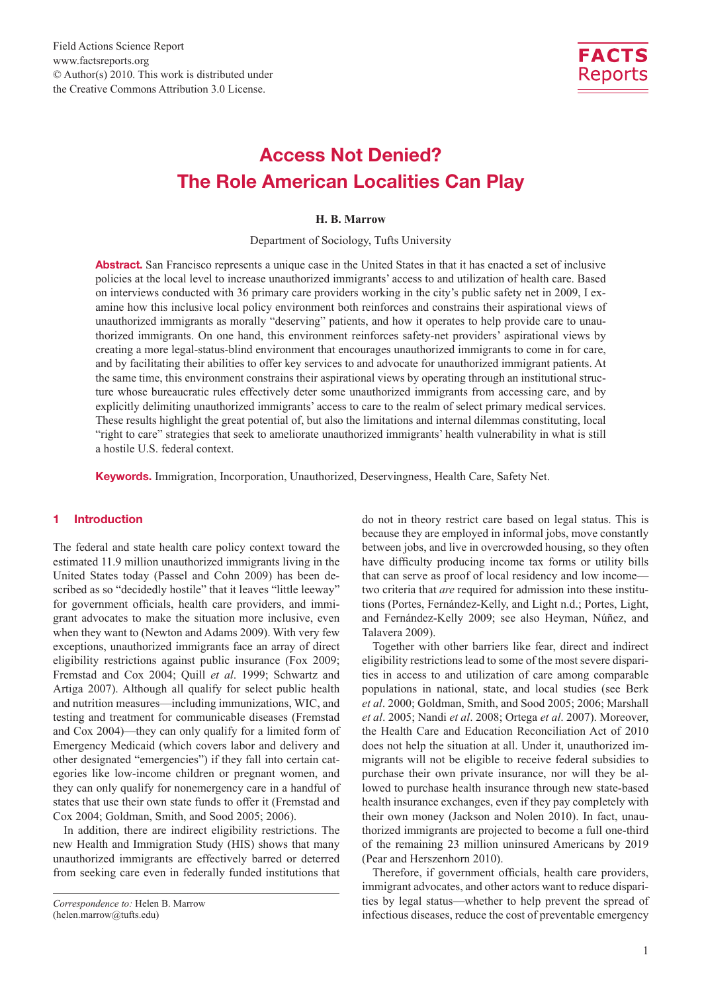

# Access Not Denied? The Role American Localities Can Play

#### **H. B. Marrow**

Department of Sociology, Tufts University

Abstract. San Francisco represents a unique case in the United States in that it has enacted a set of inclusive policies at the local level to increase unauthorized immigrants' access to and utilization of health care. Based on interviews conducted with 36 primary care providers working in the city's public safety net in 2009, I examine how this inclusive local policy environment both reinforces and constrains their aspirational views of unauthorized immigrants as morally "deserving" patients, and how it operates to help provide care to unauthorized immigrants. On one hand, this environment reinforces safety-net providers' aspirational views by creating a more legal-status-blind environment that encourages unauthorized immigrants to come in for care, and by facilitating their abilities to offer key services to and advocate for unauthorized immigrant patients. At the same time, this environment constrains their aspirational views by operating through an institutional structure whose bureaucratic rules effectively deter some unauthorized immigrants from accessing care, and by explicitly delimiting unauthorized immigrants' access to care to the realm of select primary medical services. These results highlight the great potential of, but also the limitations and internal dilemmas constituting, local "right to care" strategies that seek to ameliorate unauthorized immigrants' health vulnerability in what is still a hostile U.S. federal context.

Keywords. Immigration, Incorporation, Unauthorized, Deservingness, Health Care, Safety Net.

#### 1 Introduction

The federal and state health care policy context toward the estimated 11.9 million unauthorized immigrants living in the United States today (Passel and Cohn 2009) has been described as so "decidedly hostile" that it leaves "little leeway" for government officials, health care providers, and immigrant advocates to make the situation more inclusive, even when they want to (Newton and Adams 2009). With very few exceptions, unauthorized immigrants face an array of direct eligibility restrictions against public insurance (Fox 2009; Fremstad and Cox 2004; Quill *et al*. 1999; Schwartz and Artiga 2007). Although all qualify for select public health and nutrition measures—including immunizations, WIC, and testing and treatment for communicable diseases (Fremstad and Cox 2004)—they can only qualify for a limited form of Emergency Medicaid (which covers labor and delivery and other designated "emergencies") if they fall into certain categories like low-income children or pregnant women, and they can only qualify for nonemergency care in a handful of states that use their own state funds to offer it (Fremstad and Cox 2004; Goldman, Smith, and Sood 2005; 2006).

In addition, there are indirect eligibility restrictions. The new Health and Immigration Study (HIS) shows that many unauthorized immigrants are effectively barred or deterred from seeking care even in federally funded institutions that do not in theory restrict care based on legal status. This is because they are employed in informal jobs, move constantly between jobs, and live in overcrowded housing, so they often have difficulty producing income tax forms or utility bills that can serve as proof of local residency and low income two criteria that *are* required for admission into these institutions (Portes, Fernández-Kelly, and Light n.d.; Portes, Light, and Fernández-Kelly 2009; see also Heyman, Núñez, and Talavera 2009).

Together with other barriers like fear, direct and indirect eligibility restrictions lead to some of the most severe disparities in access to and utilization of care among comparable populations in national, state, and local studies (see Berk *et al*. 2000; Goldman, Smith, and Sood 2005; 2006; Marshall *et al*. 2005; Nandi *et al*. 2008; Ortega *et al*. 2007). Moreover, the Health Care and Education Reconciliation Act of 2010 does not help the situation at all. Under it, unauthorized immigrants will not be eligible to receive federal subsidies to purchase their own private insurance, nor will they be allowed to purchase health insurance through new state-based health insurance exchanges, even if they pay completely with their own money (Jackson and Nolen 2010). In fact, unauthorized immigrants are projected to become a full one-third of the remaining 23 million uninsured Americans by 2019 (Pear and Herszenhorn 2010).

Therefore, if government officials, health care providers, immigrant advocates, and other actors want to reduce disparities by legal status—whether to help prevent the spread of infectious diseases, reduce the cost of preventable emergency

*Correspondence to:* Helen B. Marrow (helen.marrow@tufts.edu)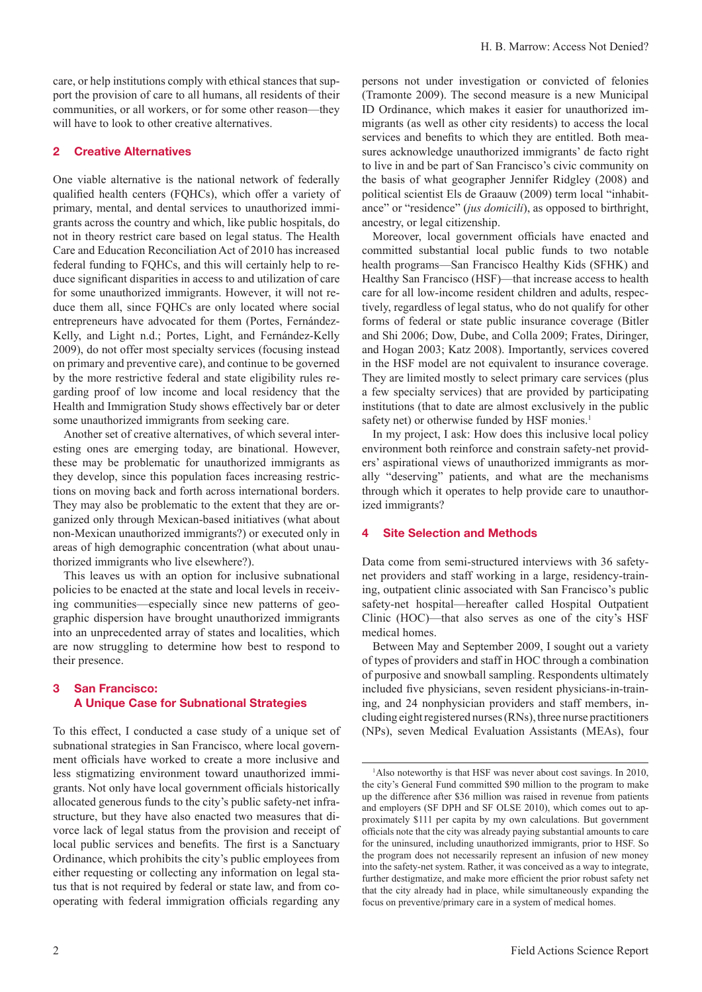care, or help institutions comply with ethical stances that support the provision of care to all humans, all residents of their communities, or all workers, or for some other reason—they will have to look to other creative alternatives.

#### 2 Creative Alternatives

One viable alternative is the national network of federally qualified health centers (FQHCs), which offer a variety of primary, mental, and dental services to unauthorized immigrants across the country and which, like public hospitals, do not in theory restrict care based on legal status. The Health Care and Education Reconciliation Act of 2010 has increased federal funding to FQHCs, and this will certainly help to reduce significant disparities in access to and utilization of care for some unauthorized immigrants. However, it will not reduce them all, since FQHCs are only located where social entrepreneurs have advocated for them (Portes, Fernández-Kelly, and Light n.d.; Portes, Light, and Fernández-Kelly 2009), do not offer most specialty services (focusing instead on primary and preventive care), and continue to be governed by the more restrictive federal and state eligibility rules regarding proof of low income and local residency that the Health and Immigration Study shows effectively bar or deter some unauthorized immigrants from seeking care.

Another set of creative alternatives, of which several interesting ones are emerging today, are binational. However, these may be problematic for unauthorized immigrants as they develop, since this population faces increasing restrictions on moving back and forth across international borders. They may also be problematic to the extent that they are organized only through Mexican-based initiatives (what about non-Mexican unauthorized immigrants?) or executed only in areas of high demographic concentration (what about unauthorized immigrants who live elsewhere?).

This leaves us with an option for inclusive subnational policies to be enacted at the state and local levels in receiving communities—especially since new patterns of geographic dispersion have brought unauthorized immigrants into an unprecedented array of states and localities, which are now struggling to determine how best to respond to their presence.

# 3 San Francisco: A Unique Case for Subnational Strategies

To this effect, I conducted a case study of a unique set of subnational strategies in San Francisco, where local government officials have worked to create a more inclusive and less stigmatizing environment toward unauthorized immigrants. Not only have local government officials historically allocated generous funds to the city's public safety-net infrastructure, but they have also enacted two measures that divorce lack of legal status from the provision and receipt of local public services and benefits. The first is a Sanctuary Ordinance, which prohibits the city's public employees from either requesting or collecting any information on legal status that is not required by federal or state law, and from cooperating with federal immigration officials regarding any

persons not under investigation or convicted of felonies (Tramonte 2009). The second measure is a new Municipal ID Ordinance, which makes it easier for unauthorized immigrants (as well as other city residents) to access the local services and benefits to which they are entitled. Both measures acknowledge unauthorized immigrants' de facto right to live in and be part of San Francisco's civic community on the basis of what geographer Jennifer Ridgley (2008) and political scientist Els de Graauw (2009) term local "inhabitance" or "residence" (*jus domicili*), as opposed to birthright, ancestry, or legal citizenship.

Moreover, local government officials have enacted and committed substantial local public funds to two notable health programs—San Francisco Healthy Kids (SFHK) and Healthy San Francisco (HSF)—that increase access to health care for all low-income resident children and adults, respectively, regardless of legal status, who do not qualify for other forms of federal or state public insurance coverage (Bitler and Shi 2006; Dow, Dube, and Colla 2009; Frates, Diringer, and Hogan 2003; Katz 2008). Importantly, services covered in the HSF model are not equivalent to insurance coverage. They are limited mostly to select primary care services (plus a few specialty services) that are provided by participating institutions (that to date are almost exclusively in the public safety net) or otherwise funded by HSF monies.<sup>1</sup>

In my project, I ask: How does this inclusive local policy environment both reinforce and constrain safety-net providers' aspirational views of unauthorized immigrants as morally "deserving" patients, and what are the mechanisms through which it operates to help provide care to unauthorized immigrants?

### 4 Site Selection and Methods

Data come from semi-structured interviews with 36 safetynet providers and staff working in a large, residency-training, outpatient clinic associated with San Francisco's public safety-net hospital—hereafter called Hospital Outpatient Clinic (HOC)—that also serves as one of the city's HSF medical homes.

Between May and September 2009, I sought out a variety of types of providers and staff in HOC through a combination of purposive and snowball sampling. Respondents ultimately included five physicians, seven resident physicians-in-training, and 24 nonphysician providers and staff members, including eight registered nurses (RNs), three nurse practitioners (NPs), seven Medical Evaluation Assistants (MEAs), four

<sup>&</sup>lt;sup>1</sup>Also noteworthy is that HSF was never about cost savings. In 2010, the city's General Fund committed \$90 million to the program to make up the difference after \$36 million was raised in revenue from patients and employers (SF DPH and SF OLSE 2010), which comes out to approximately \$111 per capita by my own calculations. But government officials note that the city was already paying substantial amounts to care for the uninsured, including unauthorized immigrants, prior to HSF. So the program does not necessarily represent an infusion of new money into the safety-net system. Rather, it was conceived as a way to integrate, further destigmatize, and make more efficient the prior robust safety net that the city already had in place, while simultaneously expanding the focus on preventive/primary care in a system of medical homes.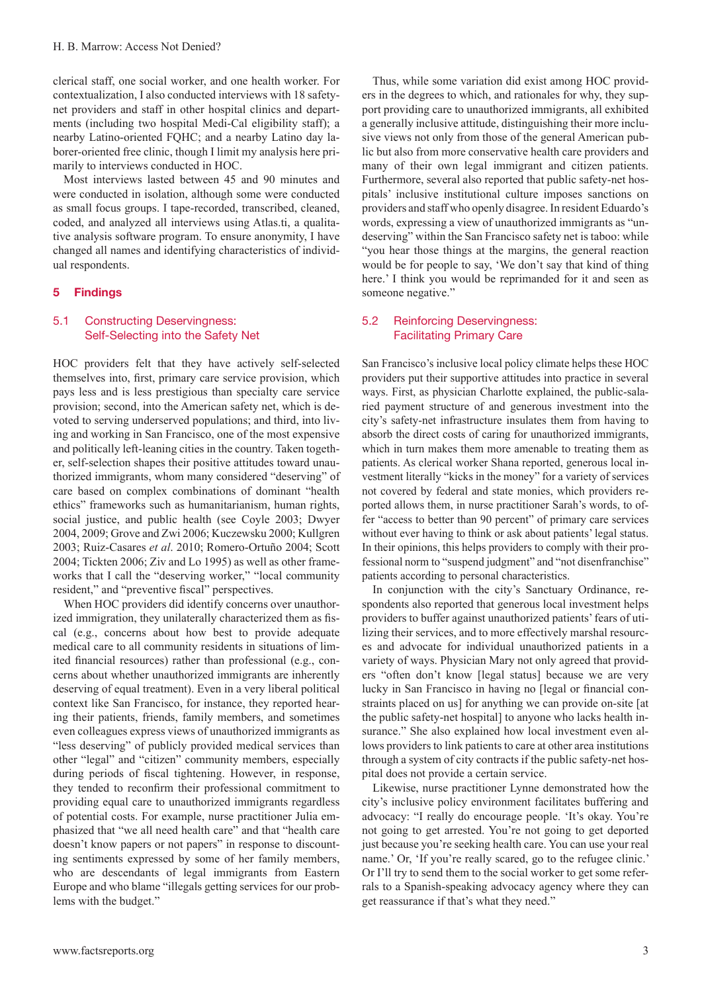clerical staff, one social worker, and one health worker. For contextualization, I also conducted interviews with 18 safetynet providers and staff in other hospital clinics and departments (including two hospital Medi-Cal eligibility staff); a nearby Latino-oriented FQHC; and a nearby Latino day laborer-oriented free clinic, though I limit my analysis here primarily to interviews conducted in HOC.

Most interviews lasted between 45 and 90 minutes and were conducted in isolation, although some were conducted as small focus groups. I tape-recorded, transcribed, cleaned, coded, and analyzed all interviews using Atlas.ti, a qualitative analysis software program. To ensure anonymity, I have changed all names and identifying characteristics of individual respondents.

#### 5 Findings

# 5.1 Constructing Deservingness: Self-Selecting into the Safety Net

HOC providers felt that they have actively self-selected themselves into, first, primary care service provision, which pays less and is less prestigious than specialty care service provision; second, into the American safety net, which is devoted to serving underserved populations; and third, into living and working in San Francisco, one of the most expensive and politically left-leaning cities in the country. Taken together, self-selection shapes their positive attitudes toward unauthorized immigrants, whom many considered "deserving" of care based on complex combinations of dominant "health ethics" frameworks such as humanitarianism, human rights, social justice, and public health (see Coyle 2003; Dwyer 2004, 2009; Grove and Zwi 2006; Kuczewsku 2000; Kullgren 2003; Ruiz-Casares *et al*. 2010; Romero-Ortuño 2004; Scott 2004; Tickten 2006; Ziv and Lo 1995) as well as other frameworks that I call the "deserving worker," "local community resident," and "preventive fiscal" perspectives.

When HOC providers did identify concerns over unauthorized immigration, they unilaterally characterized them as fiscal (e.g., concerns about how best to provide adequate medical care to all community residents in situations of limited financial resources) rather than professional (e.g., concerns about whether unauthorized immigrants are inherently deserving of equal treatment). Even in a very liberal political context like San Francisco, for instance, they reported hearing their patients, friends, family members, and sometimes even colleagues express views of unauthorized immigrants as "less deserving" of publicly provided medical services than other "legal" and "citizen" community members, especially during periods of fiscal tightening. However, in response, they tended to reconfirm their professional commitment to providing equal care to unauthorized immigrants regardless of potential costs. For example, nurse practitioner Julia emphasized that "we all need health care" and that "health care doesn't know papers or not papers" in response to discounting sentiments expressed by some of her family members, who are descendants of legal immigrants from Eastern Europe and who blame "illegals getting services for our problems with the budget."

Thus, while some variation did exist among HOC providers in the degrees to which, and rationales for why, they support providing care to unauthorized immigrants, all exhibited a generally inclusive attitude, distinguishing their more inclusive views not only from those of the general American public but also from more conservative health care providers and many of their own legal immigrant and citizen patients. Furthermore, several also reported that public safety-net hospitals' inclusive institutional culture imposes sanctions on providers and staff who openly disagree. In resident Eduardo's words, expressing a view of unauthorized immigrants as "undeserving" within the San Francisco safety net is taboo: while "you hear those things at the margins, the general reaction would be for people to say, 'We don't say that kind of thing here.' I think you would be reprimanded for it and seen as someone negative."

# 5.2 Reinforcing Deservingness: Facilitating Primary Care

San Francisco's inclusive local policy climate helps these HOC providers put their supportive attitudes into practice in several ways. First, as physician Charlotte explained, the public-salaried payment structure of and generous investment into the city's safety-net infrastructure insulates them from having to absorb the direct costs of caring for unauthorized immigrants, which in turn makes them more amenable to treating them as patients. As clerical worker Shana reported, generous local investment literally "kicks in the money" for a variety of services not covered by federal and state monies, which providers reported allows them, in nurse practitioner Sarah's words, to offer "access to better than 90 percent" of primary care services without ever having to think or ask about patients' legal status. In their opinions, this helps providers to comply with their professional norm to "suspend judgment" and "not disenfranchise" patients according to personal characteristics.

In conjunction with the city's Sanctuary Ordinance, respondents also reported that generous local investment helps providers to buffer against unauthorized patients' fears of utilizing their services, and to more effectively marshal resources and advocate for individual unauthorized patients in a variety of ways. Physician Mary not only agreed that providers "often don't know [legal status] because we are very lucky in San Francisco in having no [legal or financial constraints placed on us] for anything we can provide on-site [at the public safety-net hospital] to anyone who lacks health insurance." She also explained how local investment even allows providers to link patients to care at other area institutions through a system of city contracts if the public safety-net hospital does not provide a certain service.

Likewise, nurse practitioner Lynne demonstrated how the city's inclusive policy environment facilitates buffering and advocacy: "I really do encourage people. 'It's okay. You're not going to get arrested. You're not going to get deported just because you're seeking health care. You can use your real name.' Or, 'If you're really scared, go to the refugee clinic.' Or I'll try to send them to the social worker to get some referrals to a Spanish-speaking advocacy agency where they can get reassurance if that's what they need."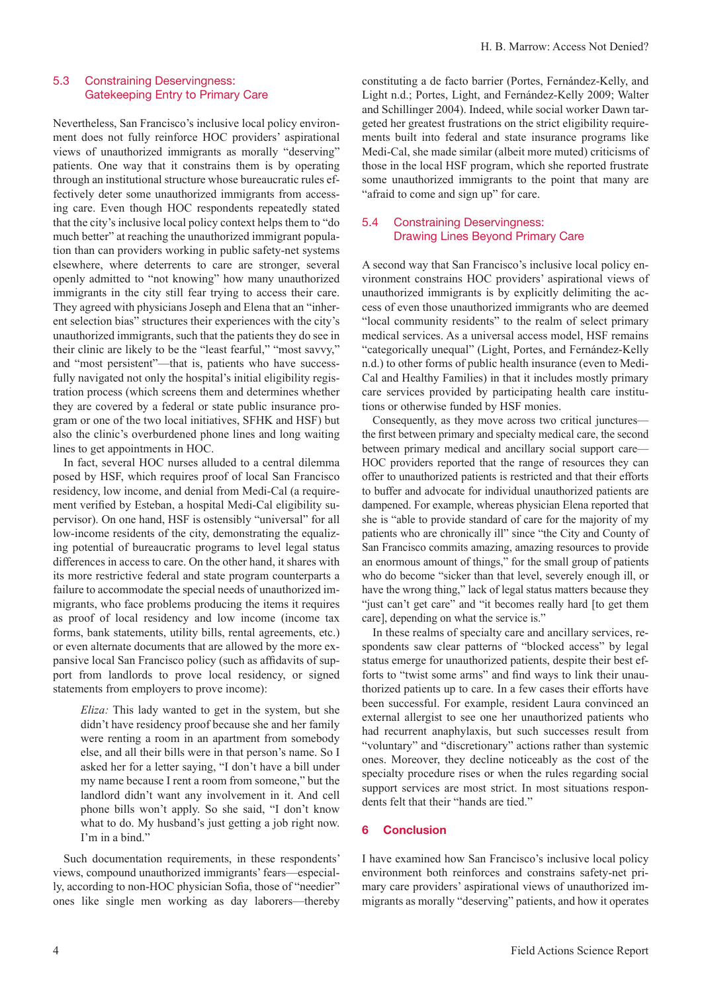## 5.3 Constraining Deservingness: Gatekeeping Entry to Primary Care

Nevertheless, San Francisco's inclusive local policy environment does not fully reinforce HOC providers' aspirational views of unauthorized immigrants as morally "deserving" patients. One way that it constrains them is by operating through an institutional structure whose bureaucratic rules effectively deter some unauthorized immigrants from accessing care. Even though HOC respondents repeatedly stated that the city's inclusive local policy context helps them to "do much better" at reaching the unauthorized immigrant population than can providers working in public safety-net systems elsewhere, where deterrents to care are stronger, several openly admitted to "not knowing" how many unauthorized immigrants in the city still fear trying to access their care. They agreed with physicians Joseph and Elena that an "inherent selection bias" structures their experiences with the city's unauthorized immigrants, such that the patients they do see in their clinic are likely to be the "least fearful," "most savvy," and "most persistent"—that is, patients who have successfully navigated not only the hospital's initial eligibility registration process (which screens them and determines whether they are covered by a federal or state public insurance program or one of the two local initiatives, SFHK and HSF) but also the clinic's overburdened phone lines and long waiting lines to get appointments in HOC.

In fact, several HOC nurses alluded to a central dilemma posed by HSF, which requires proof of local San Francisco residency, low income, and denial from Medi-Cal (a requirement verified by Esteban, a hospital Medi-Cal eligibility supervisor). On one hand, HSF is ostensibly "universal" for all low-income residents of the city, demonstrating the equalizing potential of bureaucratic programs to level legal status differences in access to care. On the other hand, it shares with its more restrictive federal and state program counterparts a failure to accommodate the special needs of unauthorized immigrants, who face problems producing the items it requires as proof of local residency and low income (income tax forms, bank statements, utility bills, rental agreements, etc.) or even alternate documents that are allowed by the more expansive local San Francisco policy (such as affidavits of support from landlords to prove local residency, or signed statements from employers to prove income):

*Eliza:* This lady wanted to get in the system, but she didn't have residency proof because she and her family were renting a room in an apartment from somebody else, and all their bills were in that person's name. So I asked her for a letter saying, "I don't have a bill under my name because I rent a room from someone," but the landlord didn't want any involvement in it. And cell phone bills won't apply. So she said, "I don't know what to do. My husband's just getting a job right now. I'm in a bind."

Such documentation requirements, in these respondents' views, compound unauthorized immigrants' fears—especially, according to non-HOC physician Sofia, those of "needier" ones like single men working as day laborers—thereby constituting a de facto barrier (Portes, Fernández-Kelly, and Light n.d.; Portes, Light, and Fernández-Kelly 2009; Walter and Schillinger 2004). Indeed, while social worker Dawn targeted her greatest frustrations on the strict eligibility requirements built into federal and state insurance programs like Medi-Cal, she made similar (albeit more muted) criticisms of those in the local HSF program, which she reported frustrate some unauthorized immigrants to the point that many are "afraid to come and sign up" for care.

#### 5.4 Constraining Deservingness: Drawing Lines Beyond Primary Care

A second way that San Francisco's inclusive local policy environment constrains HOC providers' aspirational views of unauthorized immigrants is by explicitly delimiting the access of even those unauthorized immigrants who are deemed "local community residents" to the realm of select primary medical services. As a universal access model, HSF remains "categorically unequal" (Light, Portes, and Fernández-Kelly n.d.) to other forms of public health insurance (even to Medi-Cal and Healthy Families) in that it includes mostly primary care services provided by participating health care institutions or otherwise funded by HSF monies.

Consequently, as they move across two critical junctures the first between primary and specialty medical care, the second between primary medical and ancillary social support care— HOC providers reported that the range of resources they can offer to unauthorized patients is restricted and that their efforts to buffer and advocate for individual unauthorized patients are dampened. For example, whereas physician Elena reported that she is "able to provide standard of care for the majority of my patients who are chronically ill" since "the City and County of San Francisco commits amazing, amazing resources to provide an enormous amount of things," for the small group of patients who do become "sicker than that level, severely enough ill, or have the wrong thing," lack of legal status matters because they "just can't get care" and "it becomes really hard [to get them care], depending on what the service is."

In these realms of specialty care and ancillary services, respondents saw clear patterns of "blocked access" by legal status emerge for unauthorized patients, despite their best efforts to "twist some arms" and find ways to link their unauthorized patients up to care. In a few cases their efforts have been successful. For example, resident Laura convinced an external allergist to see one her unauthorized patients who had recurrent anaphylaxis, but such successes result from "voluntary" and "discretionary" actions rather than systemic ones. Moreover, they decline noticeably as the cost of the specialty procedure rises or when the rules regarding social support services are most strict. In most situations respondents felt that their "hands are tied."

## 6 Conclusion

I have examined how San Francisco's inclusive local policy environment both reinforces and constrains safety-net primary care providers' aspirational views of unauthorized immigrants as morally "deserving" patients, and how it operates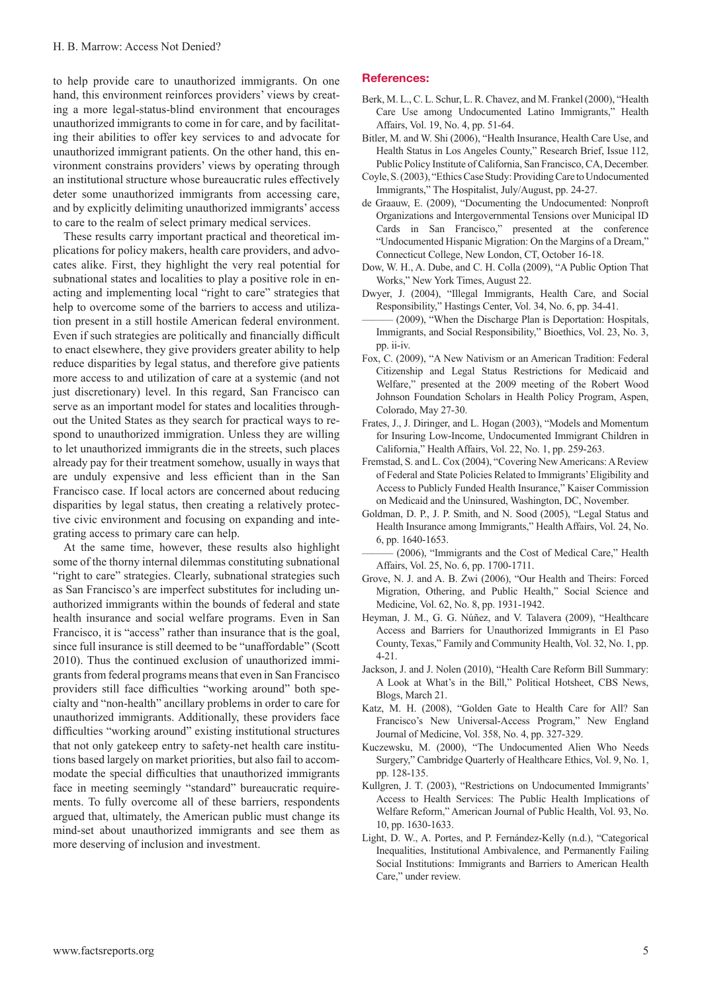to help provide care to unauthorized immigrants. On one hand, this environment reinforces providers' views by creating a more legal-status-blind environment that encourages unauthorized immigrants to come in for care, and by facilitating their abilities to offer key services to and advocate for unauthorized immigrant patients. On the other hand, this environment constrains providers' views by operating through an institutional structure whose bureaucratic rules effectively deter some unauthorized immigrants from accessing care, and by explicitly delimiting unauthorized immigrants' access to care to the realm of select primary medical services.

These results carry important practical and theoretical implications for policy makers, health care providers, and advocates alike. First, they highlight the very real potential for subnational states and localities to play a positive role in enacting and implementing local "right to care" strategies that help to overcome some of the barriers to access and utilization present in a still hostile American federal environment. Even if such strategies are politically and financially difficult to enact elsewhere, they give providers greater ability to help reduce disparities by legal status, and therefore give patients more access to and utilization of care at a systemic (and not just discretionary) level. In this regard, San Francisco can serve as an important model for states and localities throughout the United States as they search for practical ways to respond to unauthorized immigration. Unless they are willing to let unauthorized immigrants die in the streets, such places already pay for their treatment somehow, usually in ways that are unduly expensive and less efficient than in the San Francisco case. If local actors are concerned about reducing disparities by legal status, then creating a relatively protective civic environment and focusing on expanding and integrating access to primary care can help.

At the same time, however, these results also highlight some of the thorny internal dilemmas constituting subnational "right to care" strategies. Clearly, subnational strategies such as San Francisco's are imperfect substitutes for including unauthorized immigrants within the bounds of federal and state health insurance and social welfare programs. Even in San Francisco, it is "access" rather than insurance that is the goal, since full insurance is still deemed to be "unaffordable" (Scott 2010). Thus the continued exclusion of unauthorized immigrants from federal programs means that even in San Francisco providers still face difficulties "working around" both specialty and "non-health" ancillary problems in order to care for unauthorized immigrants. Additionally, these providers face difficulties "working around" existing institutional structures that not only gatekeep entry to safety-net health care institutions based largely on market priorities, but also fail to accommodate the special difficulties that unauthorized immigrants face in meeting seemingly "standard" bureaucratic requirements. To fully overcome all of these barriers, respondents argued that, ultimately, the American public must change its mind-set about unauthorized immigrants and see them as more deserving of inclusion and investment.

#### References:

- Berk, M. L., C. L. Schur, L. R. Chavez, and M. Frankel (2000), "Health Care Use among Undocumented Latino Immigrants," Health Affairs, Vol. 19, No. 4, pp. 51-64.
- Bitler, M. and W. Shi (2006), "Health Insurance, Health Care Use, and Health Status in Los Angeles County," Research Brief, Issue 112, Public Policy Institute of California, San Francisco, CA, December.
- Coyle, S. (2003), "Ethics Case Study: Providing Care to Undocumented Immigrants," The Hospitalist, July/August, pp. 24-27.
- de Graauw, E. (2009), "Documenting the Undocumented: Nonproft Organizations and Intergovernmental Tensions over Municipal ID Cards in San Francisco," presented at the conference "Undocumented Hispanic Migration: On the Margins of a Dream," Connecticut College, New London, CT, October 16-18.
- Dow, W. H., A. Dube, and C. H. Colla (2009), "A Public Option That Works," New York Times, August 22.
- Dwyer, J. (2004), "Illegal Immigrants, Health Care, and Social Responsibility," Hastings Center, Vol. 34, No. 6, pp. 34-41.
- ——— (2009), "When the Discharge Plan is Deportation: Hospitals, Immigrants, and Social Responsibility," Bioethics, Vol. 23, No. 3, pp. ii-iv.
- Fox, C. (2009), "A New Nativism or an American Tradition: Federal Citizenship and Legal Status Restrictions for Medicaid and Welfare," presented at the 2009 meeting of the Robert Wood Johnson Foundation Scholars in Health Policy Program, Aspen, Colorado, May 27-30.
- Frates, J., J. Diringer, and L. Hogan (2003), "Models and Momentum for Insuring Low-Income, Undocumented Immigrant Children in California," Health Affairs, Vol. 22, No. 1, pp. 259-263.
- Fremstad, S. and L. Cox (2004), "Covering New Americans: A Review of Federal and State Policies Related to Immigrants' Eligibility and Access to Publicly Funded Health Insurance," Kaiser Commission on Medicaid and the Uninsured, Washington, DC, November.
- Goldman, D. P., J. P. Smith, and N. Sood (2005), "Legal Status and Health Insurance among Immigrants," Health Affairs, Vol. 24, No. 6, pp. 1640-1653.
- (2006), "Immigrants and the Cost of Medical Care," Health Affairs, Vol. 25, No. 6, pp. 1700-1711.
- Grove, N. J. and A. B. Zwi (2006), "Our Health and Theirs: Forced Migration, Othering, and Public Health," Social Science and Medicine, Vol. 62, No. 8, pp. 1931-1942.
- Heyman, J. M., G. G. Núñez, and V. Talavera (2009), "Healthcare Access and Barriers for Unauthorized Immigrants in El Paso County, Texas," Family and Community Health, Vol. 32, No. 1, pp. 4-21.
- Jackson, J. and J. Nolen (2010), "Health Care Reform Bill Summary: A Look at What's in the Bill," Political Hotsheet, CBS News, Blogs, March 21.
- Katz, M. H. (2008), "Golden Gate to Health Care for All? San Francisco's New Universal-Access Program," New England Journal of Medicine, Vol. 358, No. 4, pp. 327-329.
- Kuczewsku, M. (2000), "The Undocumented Alien Who Needs Surgery," Cambridge Quarterly of Healthcare Ethics, Vol. 9, No. 1, pp. 128-135.
- Kullgren, J. T. (2003), "Restrictions on Undocumented Immigrants' Access to Health Services: The Public Health Implications of Welfare Reform," American Journal of Public Health, Vol. 93, No. 10, pp. 1630-1633.
- Light, D. W., A. Portes, and P. Fernández-Kelly (n.d.), "Categorical Inequalities, Institutional Ambivalence, and Permanently Failing Social Institutions: Immigrants and Barriers to American Health Care," under review.